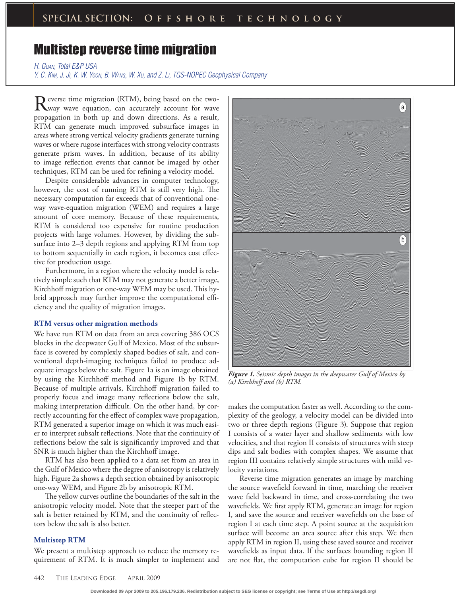# Multistep reverse time migration

H. GUAN, Total E&P USA

Y. C. KIM, J. JI, K. W. Yoon, B. Wang, W. Xu, and Z. Li, TGS-NOPEC Geophysical Company

Reverse time migration (RTM), being based on the two-<br>Rway wave equation, can accurately account for wave propagation in both up and down directions. As a result, RTM can generate much improved subsurface images in areas where strong vertical velocity gradients generate turning waves or where rugose interfaces with strong velocity contrasts generate prism waves. In addition, because of its ability to image reflection events that cannot be imaged by other techniques, RTM can be used for refining a velocity model.

Despite considerable advances in computer technology, however, the cost of running RTM is still very high. The necessary computation far exceeds that of conventional oneway wave-equation migration (WEM) and requires a large amount of core memory. Because of these requirements, RTM is considered too expensive for routine production projects with large volumes. However, by dividing the subsurface into 2–3 depth regions and applying RTM from top to bottom sequentially in each region, it becomes cost effective for production usage.

Furthermore, in a region where the velocity model is relatively simple such that RTM may not generate a better image, Kirchhoff migration or one-way WEM may be used. This hybrid approach may further improve the computational efficiency and the quality of migration images.

### **RTM versus other migration methods**

We have run RTM on data from an area covering 386 OCS blocks in the deepwater Gulf of Mexico. Most of the subsurface is covered by complexly shaped bodies of salt, and conventional depth-imaging techniques failed to produce adequate images below the salt. Figure 1a is an image obtained by using the Kirchhoff method and Figure 1b by RTM. Because of multiple arrivals, Kirchhoff migration failed to properly focus and image many reflections below the salt, making interpretation difficult. On the other hand, by correctly accounting for the effect of complex wave propagation, RTM generated a superior image on which it was much easier to interpret subsalt reflections. Note that the continuity of reflections below the salt is significantly improved and that SNR is much higher than the Kirchhoff image.

RTM has also been applied to a data set from an area in the Gulf of Mexico where the degree of anisotropy is relatively high. Figure 2a shows a depth section obtained by anisotropic one-way WEM, and Figure 2b by anisotropic RTM.

The yellow curves outline the boundaries of the salt in the anisotropic velocity model. Note that the steeper part of the salt is better retained by RTM, and the continuity of reflectors below the salt is also better.

### **Multistep RTM**

We present a multistep approach to reduce the memory requirement of RTM. It is much simpler to implement and



*Figure 1. Seismic depth images in the deepwater Gulf of Mexico by (a) Kirchhoff and (b) RTM.*

makes the computation faster as well. According to the complexity of the geology, a velocity model can be divided into two or three depth regions (Figure 3). Suppose that region I consists of a water layer and shallow sediments with low velocities, and that region II consists of structures with steep dips and salt bodies with complex shapes. We assume that region III contains relatively simple structures with mild velocity variations.

Reverse time migration generates an image by marching the source wavefield forward in time, marching the receiver wave field backward in time, and cross-correlating the two wavefields. We first apply RTM, generate an image for region I, and save the source and receiver wavefields on the base of region I at each time step. A point source at the acquisition surface will become an area source after this step. We then apply RTM in region II, using these saved source and receiver wavefields as input data. If the surfaces bounding region II are not flat, the computation cube for region II should be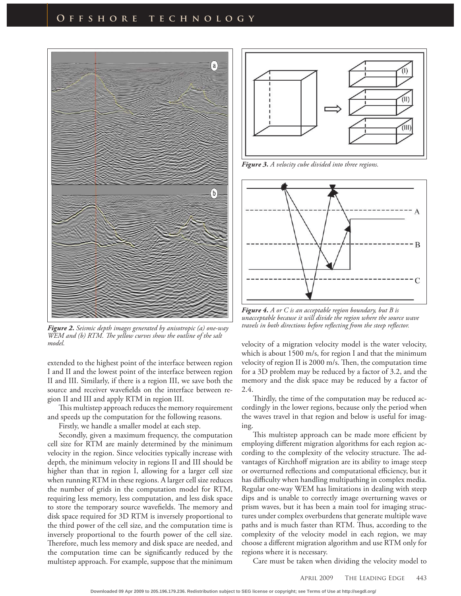

*Figure 2. Seismic depth images generated by anisotropic (a) one-way WEM and (b) RTM. The yellow curves show the outline of the salt model.*

extended to the highest point of the interface between region I and II and the lowest point of the interface between region II and III. Similarly, if there is a region III, we save both the source and receiver wavefields on the interface between region II and III and apply RTM in region III.

This multistep approach reduces the memory requirement and speeds up the computation for the following reasons.

Firstly, we handle a smaller model at each step.

Secondly, given a maximum frequency, the computation cell size for RTM are mainly determined by the minimum velocity in the region. Since velocities typically increase with depth, the minimum velocity in regions II and III should be higher than that in region I, allowing for a larger cell size when running RTM in these regions. A larger cell size reduces the number of grids in the computation model for RTM, requiring less memory, less computation, and less disk space to store the temporary source wavefields. The memory and disk space required for 3D RTM is inversely proportional to the third power of the cell size, and the computation time is inversely proportional to the fourth power of the cell size. Therefore, much less memory and disk space are needed, and the computation time can be significantly reduced by the multistep approach. For example, suppose that the minimum



*Figure 3. A velocity cube divided into three regions.*



*Figure 4. A or C is an acceptable region boundary, but B is unacceptable because it will divide the region where the source wave travels in both directions before refl ecting from the steep refl ector.*

velocity of a migration velocity model is the water velocity, which is about 1500 m/s, for region I and that the minimum velocity of region II is 2000 m/s. Then, the computation time for a 3D problem may be reduced by a factor of 3.2, and the memory and the disk space may be reduced by a factor of 2.4.

Thirdly, the time of the computation may be reduced accordingly in the lower regions, because only the period when the waves travel in that region and below is useful for imaging.

This multistep approach can be made more efficient by employing different migration algorithms for each region according to the complexity of the velocity structure. The advantages of Kirchhoff migration are its ability to image steep or overturned reflections and computational efficiency, but it has difficulty when handling multipathing in complex media. Regular one-way WEM has limitations in dealing with steep dips and is unable to correctly image overturning waves or prism waves, but it has been a main tool for imaging structures under complex overburdens that generate multiple wave paths and is much faster than RTM. Thus, according to the complexity of the velocity model in each region, we may choose a different migration algorithm and use RTM only for regions where it is necessary.

Care must be taken when dividing the velocity model to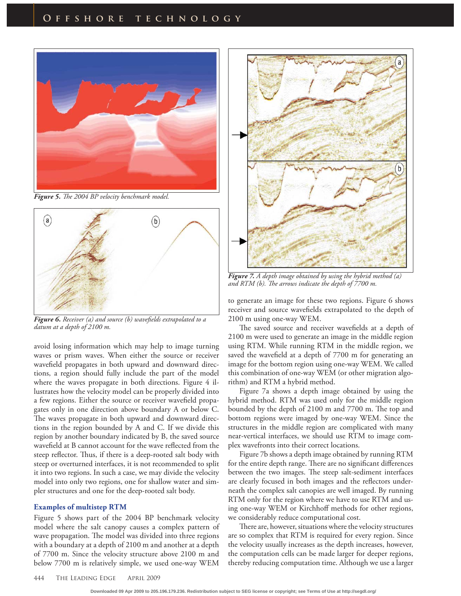

**Figure 5.** The 2004 BP velocity benchmark model.



*Figure 6. Receiver (a) and source (b) wavefields extrapolated to a datum at a depth of 2100 m.* 

avoid losing information which may help to image turning waves or prism waves. When either the source or receiver wavefield propagates in both upward and downward directions, a region should fully include the part of the model where the waves propagate in both directions. Figure 4 illustrates how the velocity model can be properly divided into a few regions. Either the source or receiver wavefield propagates only in one direction above boundary A or below C. The waves propagate in both upward and downward directions in the region bounded by A and C. If we divide this region by another boundary indicated by B, the saved source wavefield at B cannot account for the wave reflected from the steep reflector. Thus, if there is a deep-rooted salt body with steep or overturned interfaces, it is not recommended to split it into two regions. In such a case, we may divide the velocity model into only two regions, one for shallow water and simpler structures and one for the deep-rooted salt body.

### **Examples of multistep RTM**

Figure 5 shows part of the 2004 BP benchmark velocity model where the salt canopy causes a complex pattern of wave propagation. The model was divided into three regions with a boundary at a depth of 2100 m and another at a depth of 7700 m. Since the velocity structure above 2100 m and below 7700 m is relatively simple, we used one-way WEM



*Figure 7. A depth image obtained by using the hybrid method (a) and RTM (b). The arrows indicate the depth of 7700 m.* 

to generate an image for these two regions. Figure 6 shows receiver and source wavefields extrapolated to the depth of 2100 m using one-way WEM.

The saved source and receiver wavefields at a depth of 2100 m were used to generate an image in the middle region using RTM. While running RTM in the middle region, we saved the wavefield at a depth of 7700 m for generating an image for the bottom region using one-way WEM. We called this combination of one-way WEM (or other migration algorithm) and RTM a hybrid method.

Figure 7a shows a depth image obtained by using the hybrid method. RTM was used only for the middle region bounded by the depth of 2100 m and 7700 m. The top and bottom regions were imaged by one-way WEM. Since the structures in the middle region are complicated with many near-vertical interfaces, we should use RTM to image complex wavefronts into their correct locations.

Figure 7b shows a depth image obtained by running RTM for the entire depth range. There are no significant differences between the two images. The steep salt-sediment interfaces are clearly focused in both images and the reflectors underneath the complex salt canopies are well imaged. By running RTM only for the region where we have to use RTM and using one-way WEM or Kirchhoff methods for other regions, we considerably reduce computational cost.

There are, however, situations where the velocity structures are so complex that RTM is required for every region. Since the velocity usually increases as the depth increases, however, the computation cells can be made larger for deeper regions, thereby reducing computation time. Although we use a larger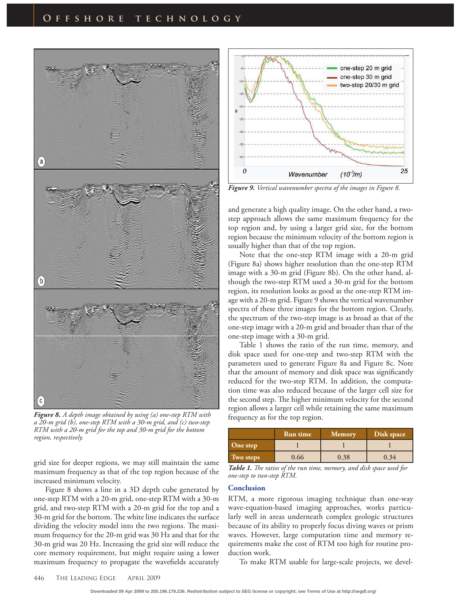

*Figure 8. A depth image obtained by using (a) one-step RTM with a 20-m grid (b), one-step RTM with a 30-m grid, and (c) two-step RTM with a 20-m grid for the top and 30-m grid for the bottom region, respectively.* 

grid size for deeper regions, we may still maintain the same maximum frequency as that of the top region because of the increased minimum velocity.

Figure 8 shows a line in a 3D depth cube generated by one-step RTM with a 20-m grid, one-step RTM with a 30-m grid, and two-step RTM with a 20-m grid for the top and a 30-m grid for the bottom. The white line indicates the surface dividing the velocity model into the two regions. The maximum frequency for the 20-m grid was 30 Hz and that for the 30-m grid was 20 Hz. Increasing the grid size will reduce the core memory requirement, but might require using a lower maximum frequency to propagate the wavefields accurately



*Figure 9. Vertical wavenumber spectra of the images in Figure 8.*

and generate a high quality image. On the other hand, a twostep approach allows the same maximum frequency for the top region and, by using a larger grid size, for the bottom region because the minimum velocity of the bottom region is usually higher than that of the top region.

Note that the one-step RTM image with a 20-m grid (Figure 8a) shows higher resolution than the one-step RTM image with a 30-m grid (Figure 8b). On the other hand, although the two-step RTM used a 30-m grid for the bottom region, its resolution looks as good as the one-step RTM image with a 20-m grid. Figure 9 shows the vertical wavenumber spectra of these three images for the bottom region. Clearly, the spectrum of the two-step image is as broad as that of the one-step image with a 20-m grid and broader than that of the one-step image with a 30-m grid.

Table 1 shows the ratio of the run time, memory, and disk space used for one-step and two-step RTM with the parameters used to generate Figure 8a and Figure 8c. Note that the amount of memory and disk space was significantly reduced for the two-step RTM. In addition, the computation time was also reduced because of the larger cell size for the second step. The higher minimum velocity for the second region allows a larger cell while retaining the same maximum frequency as for the top region.

|           | Run time | <b>Memory</b> | Disk space |
|-----------|----------|---------------|------------|
| One step  |          |               |            |
| Two steps | 0.66     | 0.38          | 0.34       |
|           |          |               |            |

**Table 1.** The ratios of the run time, memory, and disk space used for *one-step to two-step RTM.*

## **Conclusion**

RTM, a more rigorous imaging technique than one-way wave-equation-based imaging approaches, works particularly well in areas underneath complex geologic structures because of its ability to properly focus diving waves or prism waves. However, large computation time and memory requirements make the cost of RTM too high for routine production work.

To make RTM usable for large-scale projects, we devel-